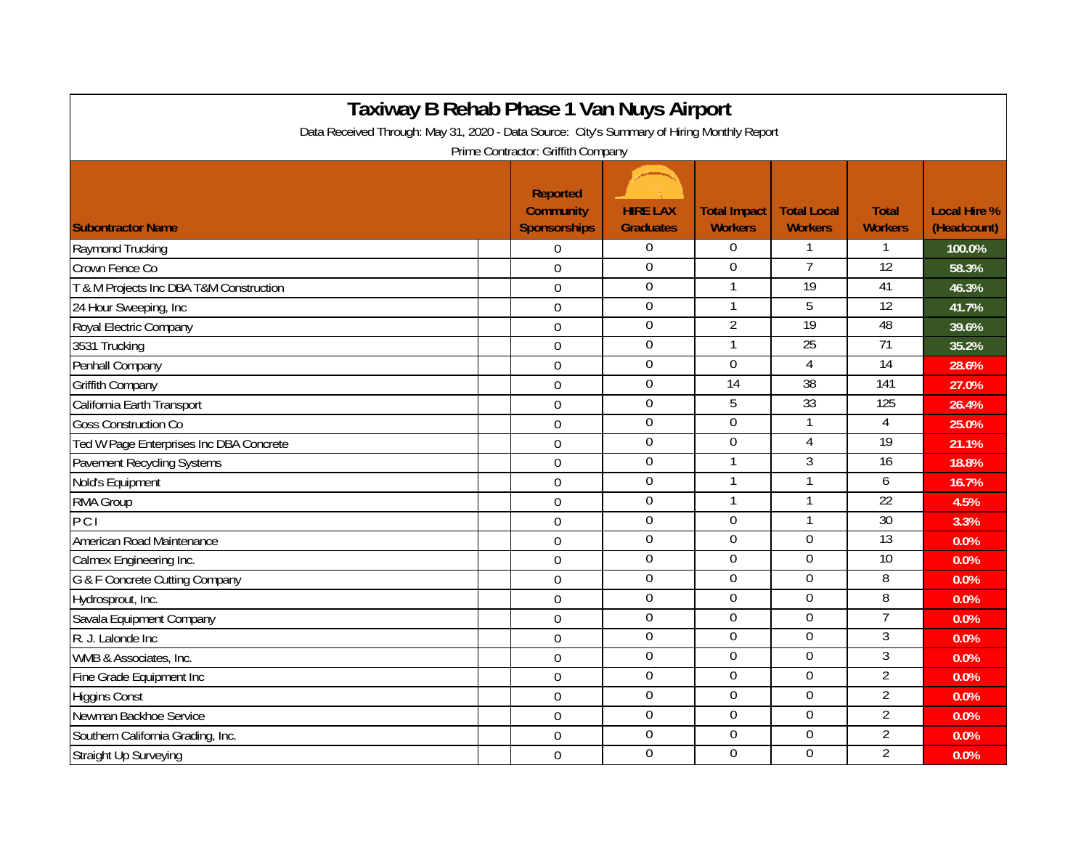| Taxiway B Rehab Phase 1 Van Nuys Airport<br>Data Received Through: May 31, 2020 - Data Source: City's Summary of Hiring Monthly Report |                                              |                                     |                                       |                                      |                                |                                    |  |  |  |  |  |  |
|----------------------------------------------------------------------------------------------------------------------------------------|----------------------------------------------|-------------------------------------|---------------------------------------|--------------------------------------|--------------------------------|------------------------------------|--|--|--|--|--|--|
|                                                                                                                                        |                                              |                                     |                                       |                                      |                                |                                    |  |  |  |  |  |  |
| <b>Subontractor Name</b>                                                                                                               | Reported<br><b>Community</b><br>Sponsorships | <b>HIRE LAX</b><br><b>Graduates</b> | <b>Total Impact</b><br><b>Workers</b> | <b>Total Local</b><br><b>Workers</b> | <b>Total</b><br><b>Workers</b> | <b>Local Hire %</b><br>(Headcount) |  |  |  |  |  |  |
| Raymond Trucking                                                                                                                       | $\overline{0}$                               | $\mathbf{0}$                        | $\Omega$                              | $\mathbf{1}$                         | 1                              | 100.0%                             |  |  |  |  |  |  |
| Crown Fence Co                                                                                                                         | $\mathbf 0$                                  | $\boldsymbol{0}$                    | $\mathbf 0$                           | $\overline{7}$                       | $\overline{12}$                | 58.3%                              |  |  |  |  |  |  |
| T & M Projects Inc DBA T&M Construction                                                                                                | $\mathbf 0$                                  | $\boldsymbol{0}$                    | 1                                     | $\overline{19}$                      | 41                             | 46.3%                              |  |  |  |  |  |  |
| 24 Hour Sweeping, Inc                                                                                                                  | $\mathbf 0$                                  | $\boldsymbol{0}$                    |                                       | 5                                    | $\overline{12}$                | 41.7%                              |  |  |  |  |  |  |
| Royal Electric Company                                                                                                                 | $\mathbf 0$                                  | $\mathbf 0$                         | $\overline{2}$                        | 19                                   | 48                             | 39.6%                              |  |  |  |  |  |  |
| 3531 Trucking                                                                                                                          | $\overline{0}$                               | $\mathbf 0$                         | 1                                     | 25                                   | 71                             | 35.2%                              |  |  |  |  |  |  |
| Penhall Company                                                                                                                        | $\overline{0}$                               | $\mathbf 0$                         | $\mathbf 0$                           | 4                                    | $\overline{14}$                | 28.6%                              |  |  |  |  |  |  |
| <b>Griffith Company</b>                                                                                                                | $\overline{0}$                               | $\overline{0}$                      | 14                                    | 38                                   | 141                            | 27.0%                              |  |  |  |  |  |  |
| California Earth Transport                                                                                                             | $\overline{0}$                               | $\boldsymbol{0}$                    | 5                                     | 33                                   | 125                            | 26.4%                              |  |  |  |  |  |  |
| <b>Goss Construction Co</b>                                                                                                            | $\mathbf 0$                                  | $\boldsymbol{0}$                    | $\overline{0}$                        | 1                                    | 4                              | 25.0%                              |  |  |  |  |  |  |
| Ted W Page Enterprises Inc DBA Concrete                                                                                                | $\mathbf 0$                                  | $\mathbf 0$                         | $\overline{0}$                        | 4                                    | $\overline{19}$                | 21.1%                              |  |  |  |  |  |  |
| <b>Pavement Recycling Systems</b>                                                                                                      | $\mathbf 0$                                  | $\boldsymbol{0}$                    |                                       | 3                                    | $\overline{16}$                | 18.8%                              |  |  |  |  |  |  |
| Nold's Equipment                                                                                                                       | $\mathbf 0$                                  | $\boldsymbol{0}$                    |                                       | 1                                    | 6                              | 16.7%                              |  |  |  |  |  |  |
| RMA Group                                                                                                                              | $\mathbf 0$                                  | $\boldsymbol{0}$                    |                                       | 1                                    | $\overline{22}$                | 4.5%                               |  |  |  |  |  |  |
| PCI                                                                                                                                    | $\mathbf 0$                                  | $\mathbf 0$                         | $\mathbf 0$                           | $\mathbf{1}$                         | $\overline{30}$                | 3.3%                               |  |  |  |  |  |  |
| American Road Maintenance                                                                                                              | $\mathbf 0$                                  | $\overline{0}$                      | $\boldsymbol{0}$                      | $\mathbf 0$                          | $\overline{13}$                | 0.0%                               |  |  |  |  |  |  |
| Calmex Engineering Inc.                                                                                                                | $\overline{0}$                               | $\overline{0}$                      | $\overline{0}$                        | 0                                    | 10                             | 0.0%                               |  |  |  |  |  |  |
| G & F Concrete Cutting Company                                                                                                         | $\Omega$                                     | $\mathbf 0$                         | $\overline{0}$                        | 0                                    | 8                              | 0.0%                               |  |  |  |  |  |  |
| Hydrosprout, Inc.                                                                                                                      | $\overline{0}$                               | $\overline{0}$                      | $\boldsymbol{0}$                      | 0                                    | 8                              | 0.0%                               |  |  |  |  |  |  |
| Savala Equipment Company                                                                                                               | $\overline{0}$                               | $\overline{0}$                      | $\boldsymbol{0}$                      | $\overline{0}$                       | $\overline{7}$                 | 0.0%                               |  |  |  |  |  |  |
| R. J. Lalonde Inc.                                                                                                                     | $\boldsymbol{0}$                             | $\boldsymbol{0}$                    | $\boldsymbol{0}$                      | 0                                    | 3                              | 0.0%                               |  |  |  |  |  |  |
| WMB & Associates, Inc.                                                                                                                 | $\mathbf 0$                                  | $\boldsymbol{0}$                    | $\overline{0}$                        | $\mathbf 0$                          | $\overline{3}$                 | 0.0%                               |  |  |  |  |  |  |
| Fine Grade Equipment Inc                                                                                                               | $\mathbf 0$                                  | $\boldsymbol{0}$                    | $\mathbf 0$                           | 0                                    | $\overline{2}$                 | 0.0%                               |  |  |  |  |  |  |
| <b>Higgins Const</b>                                                                                                                   | $\mathbf 0$                                  | $\boldsymbol{0}$                    | $\boldsymbol{0}$                      | 0                                    | $\overline{2}$                 | 0.0%                               |  |  |  |  |  |  |
| Newman Backhoe Service                                                                                                                 | $\overline{0}$                               | $\boldsymbol{0}$                    | $\mathbf 0$                           | 0                                    | $\overline{2}$                 | 0.0%                               |  |  |  |  |  |  |
| Southern California Grading, Inc.                                                                                                      | $\mathbf 0$                                  | $\boldsymbol{0}$                    | $\boldsymbol{0}$                      | $\mathbf 0$                          | $\overline{2}$                 | 0.0%                               |  |  |  |  |  |  |
| <b>Straight Up Surveying</b>                                                                                                           | $\overline{0}$                               | $\mathbf 0$                         | $\overline{0}$                        | $\overline{0}$                       | $\overline{2}$                 | 0.0%                               |  |  |  |  |  |  |